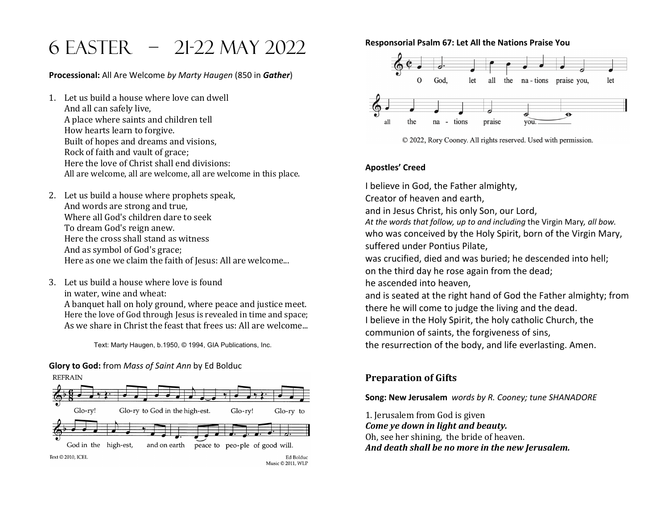# 6 easter – 21-22 May 2022

**Processional:** All Are Welcome *by Marty Haugen* (850 in *Gather*)

- 1. Let us build a house where love can dwell And all can safely live, A place where saints and children tell How hearts learn to forgive. Built of hopes and dreams and visions, Rock of faith and vault of grace; Here the love of Christ shall end divisions: All are welcome, all are welcome, all are welcome in this place.
- 2. Let us build a house where prophets speak, And words are strong and true, Where all God's children dare to seek To dream God's reign anew. Here the cross shall stand as witness And as symbol of God's grace; Here as one we claim the faith of Jesus: All are welcome...
- 3. Let us build a house where love is found in water, wine and wheat: A banquet hall on holy ground, where peace and justice meet. Here the love of God through Jesus is revealed in time and space; As we share in Christ the feast that frees us: All are welcome...

Text: Marty Haugen, b.1950, © 1994, GIA Publications, Inc.

## **Glory to God:** from *Mass of Saint Ann* by Ed Bolduc



**Responsorial Psalm 67: Let All the Nations Praise You**





#### **Apostles' Creed**

I believe in God, the Father almighty, Creator of heaven and earth, and in Jesus Christ, his only Son, our Lord, *At the words that follow, up to and including* the Virgin Mary*, all bow.* who was conceived by the Holy Spirit, born of the Virgin Mary, suffered under Pontius Pilate, was crucified, died and was buried; he descended into hell; on the third day he rose again from the dead; he ascended into heaven, and is seated at the right hand of God the Father almighty; from there he will come to judge the living and the dead. I believe in the Holy Spirit, the holy catholic Church, the communion of saints, the forgiveness of sins, the resurrection of the body, and life everlasting. Amen.

### **Preparation of Gifts**

**Song: New Jerusalem** *words by R. Cooney; tune SHANADORE* 

1. Jerusalem from God is given *Come* ye down in light and beauty. Oh, see her shining, the bride of heaven. And death shall be no more in the new Jerusalem.